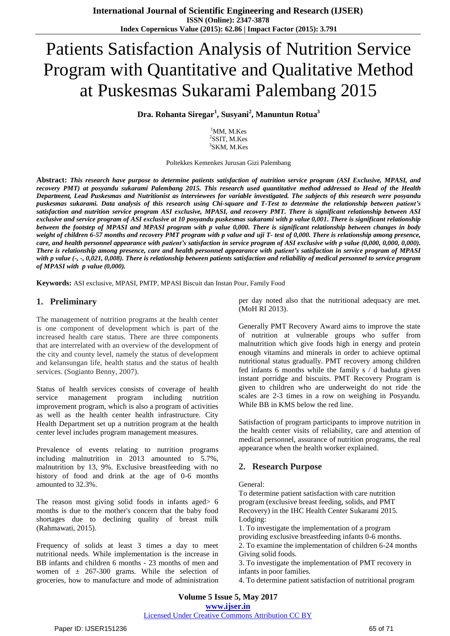# Patients Satisfaction Analysis of Nutrition Service Program with Quantitative and Qualitative Method at Puskesmas Sukarami Palembang 2015

**Dra. Rohanta Siregar<sup>1</sup> , Susyani<sup>2</sup> , Manuntun Rotua<sup>3</sup>**

<sup>1</sup>MM, M.Kes <sup>2</sup>SSIT, M.Kes 3 SKM, M.Kes

Poltekkes Kemenkes Jurusan Gizi Palembang

**Abstract:** *This research have purpose to determine patients satisfaction of nutrition service program (ASI Exclusive, MPASI, and recovery PMT) at posyandu sukarami Palembang 2015. This research used quantitative method addressed to Head of the Health Department, Lead Puskesmas and Nutritionist as interviewees for variable investigated. The subjects of this research were posyandu puskesmas sukarami. Data analysis of this research using Chi-square and T-Test to determine the relationship between patient's satisfaction and nutrition service program ASI exclusive, MPASI, and recovery PMT. There is significant relationship between ASI exclusive and service program of ASI exclusive at 10 posyandu puskesmas sukarami with p value 0,001. There is significant relationship between the footstep of MPASI and MPASI program with p value 0,000. There is significant relationship between changes in body weight of children 6-57 months and recovery PMT program with p value and uji T- test of 0,000. There is relationship among presence, care, and health personnel appearance with patient's satisfaction in service program of ASI exclusive with p value (0,000, 0,000, 0,000). There is relationship among presence, care and health personnel appearance with patient's satisfaction in service program of MPASI with p* value (-, -, 0,021, 0,008). There is relationship between patients satisfaction and reliability of medical personnel to service program *of MPASI with p value (0,000).*

**Keywords:** ASI exclusive, MPASI, PMTP, MPASI Biscuit dan Instan Pour, Family Food

#### **1. Preliminary**

The management of nutrition programs at the health center is one component of development which is part of the increased health care status. There are three components that are interrelated with an overview of the development of the city and county level, namely the status of development and kelansungan life, health status and the status of health services. (Sogianto Benny, 2007).

Status of health services consists of coverage of health service management program including nutrition improvement program, which is also a program of activities as well as the health center health infrastructure. City Health Department set up a nutrition program at the health center level includes program management measures.

Prevalence of events relating to nutrition programs including malnutrition in 2013 amounted to 5.7%, malnutrition by 13, 9%. Exclusive breastfeeding with no history of food and drink at the age of 0-6 months amounted to 32.3%.

The reason most giving solid foods in infants aged> 6 months is due to the mother's concern that the baby food shortages due to declining quality of breast milk (Rahmawati, 2015).

Frequency of solids at least 3 times a day to meet nutritional needs. While implementation is the increase in BB infants and children 6 months - 23 months of men and women of  $\pm$  267-300 grams. While the selection of groceries, how to manufacture and mode of administration per day noted also that the nutritional adequacy are met. (MoH RI 2013).

Generally PMT Recovery Award aims to improve the state of nutrition at vulnerable groups who suffer from malnutrition which give foods high in energy and protein enough vitamins and minerals in order to achieve optimal nutritional status gradually. PMT recovery among children fed infants 6 months while the family s / d baduta given instant porridge and biscuits. PMT Recovery Program is given to children who are underweight do not ride the scales are 2-3 times in a row on weighing in Posyandu. While BB in KMS below the red line.

Satisfaction of program participants to improve nutrition in the health center visits of reliability, care and attention of medical personnel, assurance of nutrition programs, the real appearance when the health worker explained.

## **2. Research Purpose**

#### General:

To determine patient satisfaction with care nutrition program (exclusive breast feeding, solids, and PMT Recovery) in the IHC Health Center Sukarami 2015. Lodging:

1. To investigate the implementation of a program providing exclusive breastfeeding infants 0-6 months. 2. To examine the implementation of children 6-24 months Giving solid foods.

3. To investigate the implementation of PMT recovery in infants in poor families.

4. To determine patient satisfaction of nutritional program

Licensed Under Creative Commons Attribution CC BY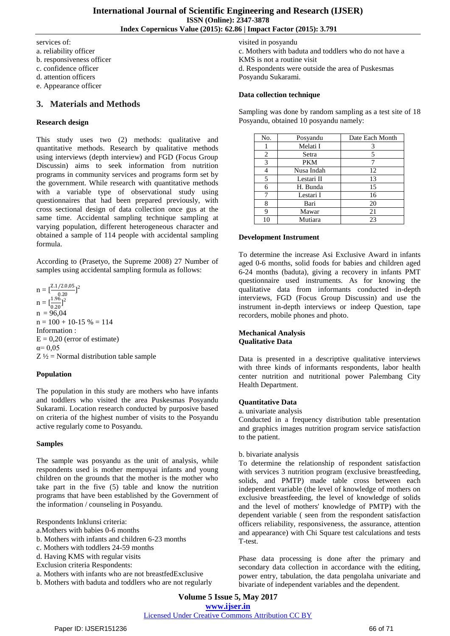#### services of: a. reliability officer b. responsiveness officer c. confidence officer

d. attention officers

e. Appearance officer

## **3. Materials and Methods**

#### **Research design**

This study uses two (2) methods: qualitative and quantitative methods. Research by qualitative methods using interviews (depth interview) and FGD (Focus Group Discussin) aims to seek information from nutrition programs in community services and programs form set by the government. While research with quantitative methods with a variable type of observational study using questionnaires that had been prepared previously, with cross sectional design of data collection once gus at the same time. Accidental sampling technique sampling at varying population, different heterogeneous character and obtained a sample of 114 people with accidental sampling formula.

According to (Prasetyo, the Supreme 2008) 27 Number of samples using accidental sampling formula as follows:

 $n = \frac{Z.1/2.0,05}{0.30}$  $\frac{(2.0,05)}{0.20}$ ]<sup>2</sup>  $n = [\frac{1.96}{0.38}]$  $\frac{1.96}{0.20}$ ]<sup>2</sup>  $n = 96,04$  $n = 100 + 10 - 15 % = 114$ Information :  $E = 0.20$  (error of estimate)  $\alpha=0.05$  $Z\frac{1}{2}$  = Normal distribution table sample

## **Population**

The population in this study are mothers who have infants and toddlers who visited the area Puskesmas Posyandu Sukarami. Location research conducted by purposive based on criteria of the highest number of visits to the Posyandu active regularly come to Posyandu.

#### **Samples**

The sample was posyandu as the unit of analysis, while respondents used is mother mempuyai infants and young children on the grounds that the mother is the mother who take part in the five (5) table and know the nutrition programs that have been established by the Government of the information / counseling in Posyandu.

Respondents Inklunsi criteria:

- a.Mothers with babies 0-6 months
- b. Mothers with infants and children 6-23 months
- c. Mothers with toddlers 24-59 months
- d. Having KMS with regular visits
- Exclusion criteria Respondents:
- a. Mothers with infants who are not breastfedExclusive
- b. Mothers with baduta and toddlers who are not regularly

visited in posyandu c. Mothers with baduta and toddlers who do not have a KMS is not a routine visit d. Respondents were outside the area of Puskesmas Posyandu Sukarami.

#### **Data collection technique**

Sampling was done by random sampling as a test site of 18 Posyandu, obtained 10 posyandu namely:

| No. | Posyandu   | Date Each Month |
|-----|------------|-----------------|
|     | Melati I   |                 |
| 2   | Setra      |                 |
| 3   | <b>PKM</b> |                 |
| 4   | Nusa Indah | 12              |
| 5   | Lestari II | 13              |
| 6   | H. Bunda   | 15              |
| 7   | Lestari I  | 16              |
| 8   | Bari       | 20              |
| 9   | Mawar      | 21              |
| 10  | Mutiara    | 23              |

#### **Development Instrument**

To determine the increase Asi Exclusive Award in infants aged 0-6 months, solid foods for babies and children aged 6-24 months (baduta), giving a recovery in infants PMT questionnaire used instruments. As for knowing the qualitative data from informants conducted in-depth interviews, FGD (Focus Group Discussin) and use the instrument in-depth interviews or indeep Question, tape recorders, mobile phones and photo.

#### **Mechanical Analysis Qualitative Data**

Data is presented in a descriptive qualitative interviews with three kinds of informants respondents, labor health center nutrition and nutritional power Palembang City Health Department.

#### **Quantitative Data**

a. univariate analysis

Conducted in a frequency distribution table presentation and graphics images nutrition program service satisfaction to the patient.

#### b. bivariate analysis

To determine the relationship of respondent satisfaction with services 3 nutrition program (exclusive breastfeeding, solids, and PMTP) made table cross between each independent variable (the level of knowledge of mothers on exclusive breastfeeding, the level of knowledge of solids and the level of mothers' knowledge of PMTP) with the dependent variable ( seen from the respondent satisfaction officers reliability, responsiveness, the assurance, attention and appearance) with Chi Square test calculations and tests T-test.

Phase data processing is done after the primary and secondary data collection in accordance with the editing, power entry, tabulation, the data pengolaha univariate and bivariate of independent variables and the dependent.

**Volume 5 Issue 5, May 2017 www.ijser.in** Licensed Under Creative Commons Attribution CC BY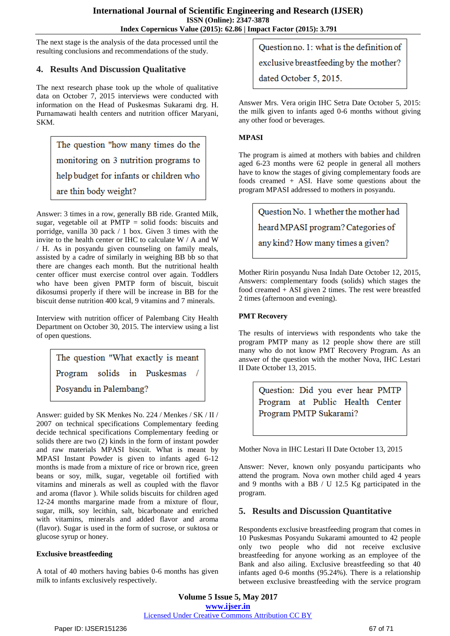The next stage is the analysis of the data processed until the resulting conclusions and recommendations of the study.

## **4. Results And Discussion Qualitative**

The next research phase took up the whole of qualitative data on October 7, 2015 interviews were conducted with information on the Head of Puskesmas Sukarami drg. H. Purnamawati health centers and nutrition officer Maryani, SKM.

> The question "how many times do the monitoring on 3 nutrition programs to help budget for infants or children who are thin body weight?

Answer: 3 times in a row, generally BB ride. Granted Milk, sugar, vegetable oil at PMTP = solid foods: biscuits and porridge, vanilla 30 pack / 1 box. Given 3 times with the invite to the health center or IHC to calculate W / A and W / H. As in posyandu given counseling on family meals, assisted by a cadre of similarly in weighing BB bb so that there are changes each month. But the nutritional health center officer must exercise control over again. Toddlers who have been given PMTP form of biscuit, biscuit dikosumsi properly if there will be increase in BB for the biscuit dense nutrition 400 kcal, 9 vitamins and 7 minerals.

Interview with nutrition officer of Palembang City Health Department on October 30, 2015. The interview using a list of open questions.

> The question "What exactly is meant Program solids in Puskesmas Posyandu in Palembang?

Answer: guided by SK Menkes No. 224 / Menkes / SK / II / 2007 on technical specifications Complementary feeding decide technical specifications Complementary feeding or solids there are two (2) kinds in the form of instant powder and raw materials MPASI biscuit. What is meant by MPASI Instant Powder is given to infants aged 6-12 months is made from a mixture of rice or brown rice, green beans or soy, milk, sugar, vegetable oil fortified with vitamins and minerals as well as coupled with the flavor and aroma (flavor ). While solids biscuits for children aged 12-24 months margarine made from a mixture of flour, sugar, milk, soy lecithin, salt, bicarbonate and enriched with vitamins, minerals and added flavor and aroma (flavor). Sugar is used in the form of sucrose, or suktosa or glucose syrup or honey.

## **Exclusive breastfeeding**

A total of 40 mothers having babies 0-6 months has given milk to infants exclusively respectively.

Question no. 1: what is the definition of

exclusive breastfeeding by the mother?

dated October 5, 2015.

Answer Mrs. Vera origin IHC Setra Date October 5, 2015: the milk given to infants aged 0-6 months without giving any other food or beverages.

## **MPASI**

The program is aimed at mothers with babies and children aged 6-23 months were 62 people in general all mothers have to know the stages of giving complementary foods are foods creamed + ASI. Have some questions about the program MPASI addressed to mothers in posyandu.

> Ouestion No. 1 whether the mother had heard MPASI program? Categories of any kind? How many times a given?

Mother Ririn posyandu Nusa Indah Date October 12, 2015, Answers: complementary foods (solids) which stages the food creamed + ASI given 2 times. The rest were breastfed 2 times (afternoon and evening).

## **PMT Recovery**

The results of interviews with respondents who take the program PMTP many as 12 people show there are still many who do not know PMT Recovery Program. As an answer of the question with the mother Nova, IHC Lestari II Date October 13, 2015.

> Question: Did you ever hear PMTP Program at Public Health Center Program PMTP Sukarami?

Mother Nova in IHC Lestari II Date October 13, 2015

Answer: Never, known only posyandu participants who attend the program. Nova own mother child aged 4 years and 9 months with a BB / U 12.5 Kg participated in the program.

## **5. Results and Discussion Quantitative**

Respondents exclusive breastfeeding program that comes in 10 Puskesmas Posyandu Sukarami amounted to 42 people only two people who did not receive exclusive breastfeeding for anyone working as an employee of the Bank and also ailing. Exclusive breastfeeding so that 40 infants aged 0-6 months (95.24%). There is a relationship between exclusive breastfeeding with the service program

**Volume 5 Issue 5, May 2017 www.ijser.in** Licensed Under Creative Commons Attribution CC BY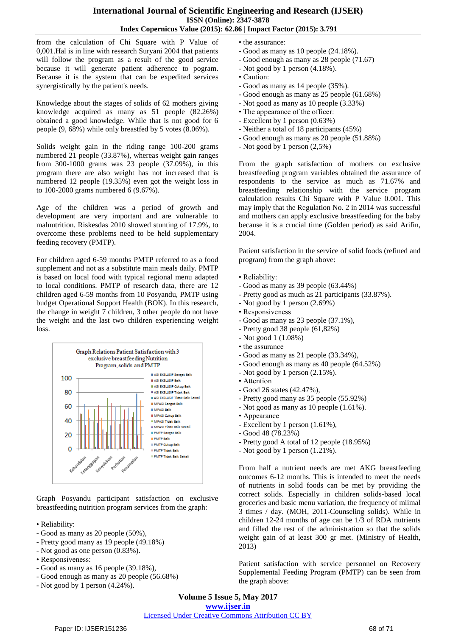from the calculation of Chi Square with P Value of 0,001.Hal is in line with research Suryani 2004 that patients will follow the program as a result of the good service because it will generate patient adherence to pogram. Because it is the system that can be expedited services synergistically by the patient's needs.

Knowledge about the stages of solids of 62 mothers giving knowledge acquired as many as 51 people (82.26%) obtained a good knowledge. While that is not good for 6 people (9, 68%) while only breastfed by 5 votes (8.06%).

Solids weight gain in the riding range 100-200 grams numbered 21 people (33.87%), whereas weight gain ranges from 300-1000 grams was 23 people (37.09%), in this program there are also weight has not increased that is numbered 12 people (19.35%) even got the weight loss in to 100-2000 grams numbered 6 (9.67%).

Age of the children was a period of growth and development are very important and are vulnerable to malnutrition. Riskesdas 2010 showed stunting of 17.9%, to overcome these problems need to be held supplementary feeding recovery (PMTP).

For children aged 6-59 months PMTP referred to as a food supplement and not as a substitute main meals daily. PMTP is based on local food with typical regional menu adapted to local conditions. PMTP of research data, there are 12 children aged 6-59 months from 10 Posyandu, PMTP using budget Operational Support Health (BOK). In this research, the change in weight 7 children, 3 other people do not have the weight and the last two children experiencing weight loss.



Graph Posyandu participant satisfaction on exclusive breastfeeding nutrition program services from the graph:

- Reliability:
- Good as many as 20 people (50%),
- Pretty good many as 19 people (49.18%)
- Not good as one person (0.83%).
- Responsiveness:
- Good as many as 16 people (39.18%),
- Good enough as many as 20 people (56.68%)
- Not good by 1 person (4.24%).
- the assurance:
- Good as many as 10 people (24.18%).
- Good enough as many as 28 people (71.67)
- Not good by 1 person (4.18%).
- Caution:
- Good as many as 14 people (35%).
- Good enough as many as 25 people (61.68%)
- Not good as many as 10 people (3.33%)
- The appearance of the officer:
- Excellent by 1 person (0.63%)
- Neither a total of 18 participants (45%)
- Good enough as many as 20 people (51.88%)
- Not good by 1 person (2,5%)

From the graph satisfaction of mothers on exclusive breastfeeding program variables obtained the assurance of respondents to the service as much as 71.67% and breastfeeding relationship with the service program calculation results Chi Square with P Value 0.001. This may imply that the Regulation No. 2 in 2014 was successful and mothers can apply exclusive breastfeeding for the baby because it is a crucial time (Golden period) as said Arifin, 2004.

Patient satisfaction in the service of solid foods (refined and program) from the graph above:

- Reliability:
- Good as many as 39 people (63.44%)
- Pretty good as much as 21 participants (33.87%).
- Not good by 1 person (2.69%)
- Responsiveness
- Good as many as 23 people (37.1%),
- Pretty good 38 people (61,82%)
- Not good 1 (1.08%)
- the assurance
- Good as many as 21 people (33.34%),
- Good enough as many as 40 people (64.52%)
- Not good by 1 person (2.15%).
- Attention
- Good 26 states (42.47%),
- Pretty good many as 35 people (55.92%)
- Not good as many as 10 people (1.61%).
- Appearance
- Excellent by 1 person (1.61%),
- Good 48 (78.23%)
- Pretty good A total of 12 people (18.95%)
- Not good by 1 person (1.21%).

From half a nutrient needs are met AKG breastfeeding outcomes 6-12 months. This is intended to meet the needs of nutrients in solid foods can be met by providing the correct solids. Especially in children solids-based local groceries and basic menu variation, the frequency of miimal 3 times / day. (MOH, 2011-Counseling solids). While in children 12-24 months of age can be 1/3 of RDA nutrients and filled the rest of the administration so that the solids weight gain of at least 300 gr met. (Ministry of Health, 2013)

Patient satisfaction with service personnel on Recovery Supplemental Feeding Program (PMTP) can be seen from the graph above:

**Volume 5 Issue 5, May 2017 www.ijser.in**

Licensed Under Creative Commons Attribution CC BY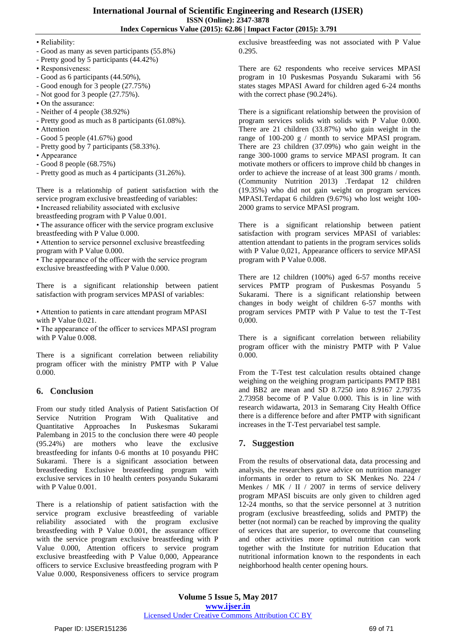#### • Reliability:

- Good as many as seven participants (55.8%)
- Pretty good by 5 participants (44.42%)
- Responsiveness:
- Good as 6 participants (44.50%),
- Good enough for 3 people (27.75%)
- Not good for 3 people (27.75%).
- On the assurance:
- Neither of 4 people (38.92%)
- Pretty good as much as 8 participants (61.08%).
- Attention
- Good 5 people (41.67%) good
- Pretty good by 7 participants (58.33%).
- Appearance
- Good 8 people (68.75%)
- Pretty good as much as 4 participants (31.26%).

There is a relationship of patient satisfaction with the service program exclusive breastfeeding of variables:

• Increased reliability associated with exclusive

breastfeeding program with P Value 0.001.

• The assurance officer with the service program exclusive breastfeeding with P Value 0.000.

• Attention to service personnel exclusive breastfeeding program with P Value 0.000.

• The appearance of the officer with the service program exclusive breastfeeding with P Value 0.000.

There is a significant relationship between patient satisfaction with program services MPASI of variables:

• Attention to patients in care attendant program MPASI with P Value 0.021.

• The appearance of the officer to services MPASI program with P Value 0.008.

There is a significant correlation between reliability program officer with the ministry PMTP with P Value 0.000.

## **6. Conclusion**

From our study titled Analysis of Patient Satisfaction Of Service Nutrition Program With Qualitative and Quantitative Approaches In Puskesmas Sukarami Palembang in 2015 to the conclusion there were 40 people (95.24%) are mothers who leave the exclusive breastfeeding for infants 0-6 months at 10 posyandu PHC Sukarami. There is a significant association between breastfeeding Exclusive breastfeeding program with exclusive services in 10 health centers posyandu Sukarami with P Value 0.001.

There is a relationship of patient satisfaction with the service program exclusive breastfeeding of variable reliability associated with the program exclusive breastfeeding with P Value 0.001, the assurance officer with the service program exclusive breastfeeding with P Value 0.000, Attention officers to service program exclusive breastfeeding with P Value 0,000, Appearance officers to service Exclusive breastfeeding program with P Value 0.000, Responsiveness officers to service program exclusive breastfeeding was not associated with P Value 0.295.

There are 62 respondents who receive services MPASI program in 10 Puskesmas Posyandu Sukarami with 56 states stages MPASI Award for children aged 6-24 months with the correct phase (90.24%).

There is a significant relationship between the provision of program services solids with solids with P Value 0.000. There are 21 children (33.87%) who gain weight in the range of 100-200 g / month to service MPASI program. There are 23 children (37.09%) who gain weight in the range 300-1000 grams to service MPASI program. It can motivate mothers or officers to improve child bb changes in order to achieve the increase of at least 300 grams / month. (Community Nutrition 2013) .Terdapat 12 children (19.35%) who did not gain weight on program services MPASI.Terdapat 6 children (9.67%) who lost weight 100- 2000 grams to service MPASI program.

There is a significant relationship between patient satisfaction with program services MPASI of variables: attention attendant to patients in the program services solids with P Value 0,021, Appearance officers to service MPASI program with P Value 0.008.

There are 12 children (100%) aged 6-57 months receive services PMTP program of Puskesmas Posyandu 5 Sukarami. There is a significant relationship between changes in body weight of children 6-57 months with program services PMTP with P Value to test the T-Test 0,000.

There is a significant correlation between reliability program officer with the ministry PMTP with P Value 0.000.

From the T-Test test calculation results obtained change weighing on the weighing program participants PMTP BB1 and BB2 are mean and SD 8.7250 into 8.9167 2.79735 2.73958 become of P Value 0.000. This is in line with research widawarta, 2013 in Semarang City Health Office there is a difference before and after PMTP with significant increases in the T-Test pervariabel test sample.

# **7. Suggestion**

From the results of observational data, data processing and analysis, the researchers gave advice on nutrition manager informants in order to return to SK Menkes No. 224 / Menkes / MK / II / 2007 in terms of service delivery program MPASI biscuits are only given to children aged 12-24 months, so that the service personnel at 3 nutrition program (exclusive breastfeeding, solids and PMTP) the better (not normal) can be reached by improving the quality of services that are superior, to overcome that counseling and other activities more optimal nutrition can work together with the Institute for nutrition Education that nutritional information known to the respondents in each neighborhood health center opening hours.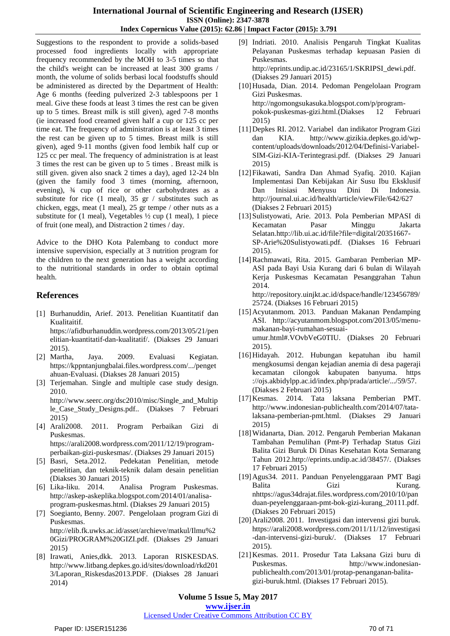#### **International Journal of Scientific Engineering and Research (IJSER) ISSN (Online): 2347-3878 Index Copernicus Value (2015): 62.86 | Impact Factor (2015): 3.791**

Suggestions to the respondent to provide a solids-based processed food ingredients locally with appropriate frequency recommended by the MOH to 3-5 times so that the child's weight can be increased at least 300 grams / month, the volume of solids berbasi local foodstuffs should be administered as directed by the Department of Health: Age 6 months (feeding pulverized 2-3 tablespoons per 1 meal. Give these foods at least 3 times the rest can be given up to 5 times. Breast milk is still given), aged 7-8 months (ie increased food creamed given half a cup or 125 cc per time eat. The frequency of administration is at least 3 times the rest can be given up to 5 times. Breast milk is still given), aged 9-11 months (given food lembik half cup or 125 cc per meal. The frequency of administration is at least 3 times the rest can be given up to 5 times . Breast milk is still given. given also snack 2 times a day), aged 12-24 bln (given the family food 3 times (morning, afternoon, evening), ¾ cup of rice or other carbohydrates as a substitute for rice (1 meal), 35 gr / substitutes such as chicken, eggs, meat (1 meal), 25 gr tempe / other nuts as a substitute for (1 meal), Vegetables ½ cup (1 meal), 1 piece of fruit (one meal), and Distraction 2 times / day.

Advice to the DHO Kota Palembang to conduct more intensive supervision, especially at 3 nutrition program for the children to the next generation has a weight according to the nutritional standards in order to obtain optimal health.

## **References**

- [1] Burhanuddin, Arief. 2013. Penelitian Kuantitatif dan Kualitaitif. [https://afidburhanuddin.wordpress.com/2013/05/21/pen](https://afidburhanuddin.wordpress.com/2013/05/21/penelitian-kuantitatif-dan-kualitatif/) [elitian-kuantitatif-dan-kualitatif/.](https://afidburhanuddin.wordpress.com/2013/05/21/penelitian-kuantitatif-dan-kualitatif/) (Diakses 29 Januari 2015).
- [2] Martha, Jaya. 2009. Evaluasi Kegiatan. [https://kppntanjungbalai.files.wordpress.com/.../penget](https://kppntanjungbalai.files.wordpress.com/.../pengetahuan-Evaluasi) [ahuan-Evaluasi.](https://kppntanjungbalai.files.wordpress.com/.../pengetahuan-Evaluasi) (Diakses 28 Januari 2015)
- [3] Terjemahan. Single and multiple case study design. 2010.

[http://www.seerc.org/dsc2010/misc/Single\\_and\\_Multip](http://www.seerc.org/dsc2010/misc/Single_and_Multiple_Case_Study_Designs.pdf) [le\\_Case\\_Study\\_Designs.pdf..](http://www.seerc.org/dsc2010/misc/Single_and_Multiple_Case_Study_Designs.pdf) (Diakses 7 Februari 2015)

- [4] Arali2008. 2011. Program Perbaikan Gizi di Puskesmas. [https://arali2008.wordpress.com/2011/12/19/program](https://arali2008.wordpress.com/2011/12/19/program-perbaikan-gizi-puskesmas/)[perbaikan-gizi-puskesmas/.](https://arali2008.wordpress.com/2011/12/19/program-perbaikan-gizi-puskesmas/) (Diakses 29 Januari 2015)
- [5] Basri, Seta.2012. Pedekatan Penelitian, metode penelitian, dan teknik-teknik dalam desain penelitian (Diakses 30 Januari 2015)
- [6] Lika-liku. 2014. Analisa Program Puskesmas. [http://askep-askeplika.blogspot.com/2014/01/analisa](http://askep-askeplika.blogspot.com/2014/01/analisa-program-puskesmas.html)[program-puskesmas.html.](http://askep-askeplika.blogspot.com/2014/01/analisa-program-puskesmas.html) (Diakses 29 Januari 2015)
- [7] Soegianto, Benny. 2007. Pengelolaan program Gizi di Puskesmas. [http://elib.fk.uwks.ac.id/asset/archieve/matkul/Ilmu%2](http://elib.fk.uwks.ac.id/asset/archieve/matkul/Ilmu%20Gizi/PROGRAM%20GIZI.pdf) [0Gizi/PROGRAM%20GIZI.pdf.](http://elib.fk.uwks.ac.id/asset/archieve/matkul/Ilmu%20Gizi/PROGRAM%20GIZI.pdf) (Diakses 29 Januari 2015)
- [8] Irawati, Anies,dkk. 2013. Laporan RISKESDAS. [http://www.litbang.depkes.go.id/sites/download/rkd201](http://www.litbang.depkes.go.id/sites/download/rkd2013/Laporan_Riskesdas2013.PDF) [3/Laporan\\_Riskesdas2013.PDF.](http://www.litbang.depkes.go.id/sites/download/rkd2013/Laporan_Riskesdas2013.PDF) (Diakses 28 Januari 2014)
- [9] Indriati. 2010. Analisis Pengaruh Tingkat Kualitas Pelayanan Puskesmas terhadap kepuasan Pasien di Puskesmas. [http://eprints.undip.ac.id/23165/1/SKRIPSI\\_dewi.pdf.](http://eprints.undip.ac.id/23165/1/SKRIPSI_dewi.pdf) (Diakses 29 Januari 2015)
- [10]Husada, Dian. 2014. Pedoman Pengelolaan Program Gizi Puskesmas. [http://ngomongsukasuka.blogspot.com/p/program](http://ngomongsukasuka.blogspot.com/p/program-pokok-puskesmas-gizi.html)[pokok-puskesmas-gizi.html.](http://ngomongsukasuka.blogspot.com/p/program-pokok-puskesmas-gizi.html)(Diakses 12 Februari 2015)
- [11]Depkes RI. 2012. Variabel dan indikator Program Gizi dan KIA. [http://www.gizikia.depkes.go.id/wp](http://www.gizikia.depkes.go.id/wp-content/uploads/downloads/2012/04/Definisi-Variabel-SIM-Gizi-KIA-Terintegrasi.pdf)[content/uploads/downloads/2012/04/Definisi-Variabel-](http://www.gizikia.depkes.go.id/wp-content/uploads/downloads/2012/04/Definisi-Variabel-SIM-Gizi-KIA-Terintegrasi.pdf)[SIM-Gizi-KIA-Terintegrasi.pdf.](http://www.gizikia.depkes.go.id/wp-content/uploads/downloads/2012/04/Definisi-Variabel-SIM-Gizi-KIA-Terintegrasi.pdf) (Diakses 29 Januari 2015)
- [12]Fikawati, Sandra Dan Ahmad Syafiq. 2010. Kajian Implementasi Dan Kebijakan Air Susu Ibu Eksklusif Dan Inisiasi Menyusu Dini Di Indonesia. <http://journal.ui.ac.id/health/article/viewFile/642/627> (Diakses 2 Februari 2015)
- [13]Sulistyowati, Arie. 2013. Pola Pemberian MPASI di Kecamatan Pasar Minggu Jakarta Selatan.http://lib.ui.ac.id/file?file=digital/20351667- SP-Arie%20Sulistyowati.pdf. (Diakses 16 Februari 2015).
- [14]Rachmawati, Rita. 2015. Gambaran Pemberian MP-ASI pada Bayi Usia Kurang dari 6 bulan di Wilayah Kerja Puskesmas Kecamatan Pesanggrahan Tahun 2014. [http://repository.uinjkt.ac.id/dspace/handle/123456789/](http://repository.uinjkt.ac.id/dspace/handle/123456789/25724) [25724.](http://repository.uinjkt.ac.id/dspace/handle/123456789/25724) (Diakses 16 Februari 2015)
- [15]Acyutanmom. 2013. Panduan Makanan Pendamping ASI. [http://acyutanmom.blogspot.com/2013/05/menu](http://acyutanmom.blogspot.com/2013/05/menu-makanan-bayi-rumahan-sesuai-umur.html#.VOvbVeG0TIU)[makanan-bayi-rumahan-sesuai](http://acyutanmom.blogspot.com/2013/05/menu-makanan-bayi-rumahan-sesuai-umur.html#.VOvbVeG0TIU)[umur.html#.VOvbVeG0TIU.](http://acyutanmom.blogspot.com/2013/05/menu-makanan-bayi-rumahan-sesuai-umur.html#.VOvbVeG0TIU) (Diakses 20 Februari 2015).
- [16]Hidayah. 2012. Hubungan kepatuhan ibu hamil mengkosumsi dengan kejadian anemia di desa pageraji kecamatan cilongok kabupaten banyuma. https ://ojs.akbidylpp.ac.id/index.php/prada/article/.../59/57. (Diakses 2 Februari 2015)
- [17]Kesmas. 2014. Tata laksana Pemberian PMT. [http://www.indonesian-publichealth.com/2014/07/tata](http://www.indonesian-publichealth.com/2014/07/tata-laksana-pemberian-pmt.html)[laksana-pemberian-pmt.html.](http://www.indonesian-publichealth.com/2014/07/tata-laksana-pemberian-pmt.html) (Diakses 29 Januari 2015)
- [18]Widanarta, Dian. 2012. Pengaruh Pemberian Makanan Tambahan Pemulihan (Pmt-P) Terhadap Status Gizi Balita Gizi Buruk Di Dinas Kesehatan Kota Semarang Tahun 2012.http://eprints.undip.ac.id/38457/. (Diakses 17 Februari 2015)
- [19]Agus34. 2011. Panduan Penyelenggaraan PMT Bagi Balita Gizi Kurang. nhttps://agus34drajat.files.wordpress.com/2010/10/pan duan-peyelenggaraan-pmt-bok-gizi-kurang\_20111.pdf. (Diakses 20 Februari 2015)
- [20]Arali2008. 2011. Investigasi dan intervensi gizi buruk. [https://arali2008.wordpress.com/2011/11/12/investigasi](https://arali2008.wordpress.com/2011/11/12/investigasi-dan-intervensi-gizi-buruk/) [-dan-intervensi-gizi-buruk/.](https://arali2008.wordpress.com/2011/11/12/investigasi-dan-intervensi-gizi-buruk/) (Diakses 17 Februari 2015).
- [21]Kesmas. 2011. Prosedur Tata Laksana Gizi buru di Puskesmas. [http://www.indonesian](http://www.indonesian-publichealth.com/2013/01/protap-penanganan-balita-gizi-buruk.html)[publichealth.com/2013/01/protap-penanganan-balita](http://www.indonesian-publichealth.com/2013/01/protap-penanganan-balita-gizi-buruk.html)[gizi-buruk.html.](http://www.indonesian-publichealth.com/2013/01/protap-penanganan-balita-gizi-buruk.html) (Diakses 17 Februari 2015).

**Volume 5 Issue 5, May 2017 www.ijser.in**

## Licensed Under Creative Commons Attribution CC BY